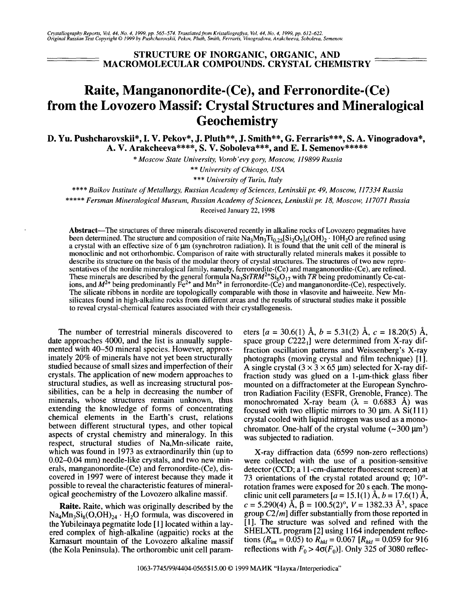## STRUCTURE OF INORGANIC, ORGANIC, AND MACROMOLECULAR COMPOUNDS. CRYSTAL CHEMISTRY

## Raite, Manganonordite-(Ce), and Ferronordite-(Ce) from the Lovozero Massif: Crystal Structures and Mineralogical **Geochemistry**

D. Yu. Pushcharovskii\*, I. V. Pekov\*, J. Pluth\*\*, J. Smith\*\*, G. Ferraris\*\*\*, S. A. Vinogradova\*, A. V. Arakcheeva\*\*\*\*, S. V. Soboleva\*\*\*, and E. I. Semenov\*\*\*\*\*\*

*\* Moscow State University, Vorob'evy gory, Moscow,* 119899 *Russia*

\*\* *University of Chicago, USA*

\*\*\* *University of Turin, Italy*

\*\*\*\* *Baikov Institute of Metallurgy, Russian Academy of Sciences, Leninskii pro* 49, *Moscow, 117334 Russia*

\*\*\*\*\* *Fersman Mineralogical Museum, Russian Academy of Sciences, Leninskii pro* 18, *Moscow, 117071 Russia*

Received January 22,1998

Abstract-The structures of three minerals discovered recently in alkaline rocks of Lovozero pegmatites have been determined. The structure and composition of raite  $Na_3Mn_3Ti_{0.25}[Si_2O_5]_4(OH)_2 \cdot 10H_2O$  are refined using a crystal with an effective size of 6  $\mu$ m (synchrotron radiation). It is found that the unit cell of the mineral is monoclinic and not orthorhombic. Comparison of raite with structurally related minerals makes it possible to describe its structure on the basis of the modular theory of crystal structures. The structures of two new representatives of the nordite mineralogical family, namely, ferronordite-(Ce) and manganonordite-(Ce), are refined. These minerals are described by the general formula *Na<sub>3</sub>SrTRM<sup>2+</sup>Si<sub>6</sub>O<sub>17</sub> with <i>TR* being predominantly Ce-cations, and  $M^{2+}$  being predominantly Fe<sup>2+</sup> and Mn<sup>2+</sup> in ferronordite-(Ce) and manganonordite-(Ce), respectively The silicate ribbons in nordite are topologically comparable with those in vlasovite and haiweeite. New Mnsilicates found in high-alkaline rocks from different areas and the results of structural studies make it possible to reveal crystal-chemical features associated with their crystallogenesis.

The number of terrestrial minerals discovered to date approaches 4000, and the list is annually supplemented with 40-50 mineral species. However, approximately 20% of minerals have not yet been structurally studied because of small sizes and imperfection of their crystals. The application of new modem approaches to structural studies, as well as increasing structural possibilities, can be a help in decreasing the number of minerals, whose structures remain unknown, thus extending the knowledge of forms of concentrating chemical elements in the Earth's crust, relations between different structural types, and other topical aspects of crystal chemistry and mineralogy. In this respect, structural studies of Na,Mn-silicate raite, which was found in 1973 as extraordinarily thin (up to 0.02-0.04 mm) needle-like crystals, and two new minerals, manganonordite-(Ce) and ferronordite-(Ce), discovered in 1997 were of interest because they made it possible to reveal the characteristic features of mineralogical geochemistry of the Lovozero alkaline massif.

Raite. Raite, which was originally described by the  $Na<sub>4</sub>Mn<sub>3</sub>Si<sub>8</sub>(O,OH)<sub>24</sub> · H<sub>2</sub>O formula, was discovered in$ the Yubileinaya pegmatite lode [1] located within a layered complex of high-alkaline (agpaitic) rocks at the Karnasurt mountain of the Lovozero alkaline massif (the Kola Peninsula). The orthorombic unit cell parameters  $[a = 30.6(1)$  Å,  $b = 5.31(2)$  Å,  $c = 18.20(5)$  Å, space group  $C222<sub>1</sub>$  were determined from X-ray diffraction oscillation patterns and Weissenberg's X-ray photographs (moving crystal and film technique) [1]. A single crystal  $(3 \times 3 \times 65 \text{ µm})$  selected for X-ray diffraction study was glued on a 1- $\mu$ m-thick glass fiber mounted on a diffractometer at the European Synchrotron Radiation Facility (ESFR, Grenoble, France). The monochromated X-ray beam  $(\lambda = 0.6883 \text{ Å})$  was focused with two elliptic mirrors to 30  $\mu$ m. A Si(111) crystal cooled with liquid nitrogen was used as a monochromator. One-half of the crystal volume  $({\sim}300 \text{ }\mu\text{m}^3)$ was subjected to radiation.

X-ray diffraction data (6599 non-zero reflections) were collected with the use of a position-sensitive detector (CCD; a 1l-cm-diameter fluorescent screen) at 73 orientations of the crystal rotated around  $\varphi$ ; 10°rotation frames were exposed for 20 s each. The monoclinic unit cell parameters  $[a = 15.1(1)$  Å,  $b = 17.6(1)$  Å,  $c = 5.290(4)$   $\hat{A}$ ,  $\beta = 100.5(2)$ °,  $V = 1382.33$   $\hat{A}^3$ , space group *C2/m]* differ substantially from those reported in [1]. The structure was solved and refined with the SHELXTL program [2] using 1164 independent reflections  $(R_{int} = 0.05)$  to  $R_{hkl} = 0.067$   $[R_{hkl} = 0.059$  for 916 reflections with  $F_0 > 4\sigma(F_0)$ . Only 325 of 3080 reflec-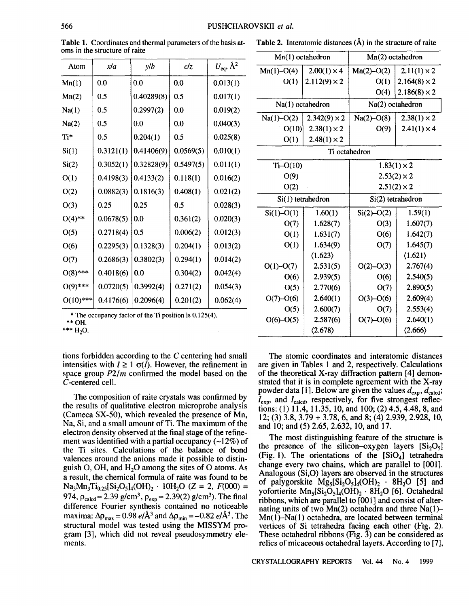Atom  $x/a$   $y/b$   $c/z$   $U_{ea}$ ,  $\lambda^2$  $\text{Mn}(1)$  0.0 0.0 0.0 0.013(1)  $Mn(2)$  0.5 0.40289(8) 0.5 0.017(1) Na(1)  $\begin{array}{|c|c|c|c|c|c|c|c|} \hline 0.5 & 0.2997(2) & 0.0 & 0.019(2) \hline \end{array}$ Na(2)  $\begin{array}{|l|l|} 0.5 & 0.0 & 0.0 & 0.040(3) \end{array}$ Ti\* | 0.5 |  $0.204(1)$  | 0.5 |  $0.025(8)$  $\text{Si}(1)$   $\big|$  0.3121(1)  $\big|$  0.41406(9) 0.0569(5)  $\big|$  0.010(1)  $\text{Si}(2)$  | 0.3052(1) 0.32828(9) 0.5497(5) | 0.011(1)  $O(1)$  0.4198(3) 0.4133(2) 0.118(1) 0.016(2)  $O(2)$   $\bigcup$  0.0882(3)  $\big|$  0.1816(3)  $\big|$  0.408(1)  $\big|$  0.021(2)  $O(3)$   $\begin{array}{ccc} 0.25 \\ 0.25 \end{array}$   $\begin{array}{ccc} 0.5 \\ 0.028(3) \end{array}$  $O(4)$ <sup>\*\*</sup>  $[0.0678(5) | 0.0$   $[0.361(2) | 0.020(3)$  $O(5)$   $\bigcup$  0.2718(4)  $\big| 0.5$   $\big| 0.006(2) \big| 0.012(3)$  $O(6)$   $\big| 0.2295(3) | 0.1328(3) | 0.204(1) | 0.013(2)$  $O(7)$  0.2686(3) 0.3802(3) 0.294(1) 0.014(2)  $O(8)$ \*\*\* | 0.4018(6) | 0.0<br> | 0.304(2) | 0.042(4)  $O(9)$ \*\*\* | 0.0720(5) | 0.3992(4) | 0.271(2) | 0.054(3)  $O(10)$ \*\*\* 0.4176(6)  $\vert 0.2096(4) \vert 0.201(2) \vert 0.062(4)$ 

| Table 1. Coordinates and thermal parameters of the basis a |  |
|------------------------------------------------------------|--|
| oms in the structure of raite                              |  |

| Table 1. Coordinates and thermal parameters of the basis at- $\Gamma$ able 2. Interatomic distances ( $\AA$ ) in the structure of raite |  |
|-----------------------------------------------------------------------------------------------------------------------------------------|--|
|-----------------------------------------------------------------------------------------------------------------------------------------|--|

| Mn(1) octahedron |                         | Mn(2) octahedron   |                         |  |  |  |  |  |  |
|------------------|-------------------------|--------------------|-------------------------|--|--|--|--|--|--|
| $Mn(1)-O(4)$     | $2.00(1) \times 4$      | $Mn(2)-O(2)$       | $2.11(1) \times 2$      |  |  |  |  |  |  |
| O(1)             | $2.112(9) \times 2$     | O(1)               | $2.164(8) \times 2$     |  |  |  |  |  |  |
|                  |                         | O(4)               | $2.186(8) \times 2$     |  |  |  |  |  |  |
|                  | Na(1) octahedron        |                    | Na(2) octahedron        |  |  |  |  |  |  |
| $Na(1)-O(2)$     | $2.342(9) \times 2$     | $Na(2) - O(8)$     | $2.38(1) \times 2$      |  |  |  |  |  |  |
| O(10)            | $2.38(1) \times 2$      | O(9)               | $2.41(1) \times 4$      |  |  |  |  |  |  |
| O(1)             | $2.48(1) \times 2$      |                    |                         |  |  |  |  |  |  |
|                  |                         | Ti octahedron      |                         |  |  |  |  |  |  |
| $Ti-O(10)$       |                         | $1.83(1) \times 2$ |                         |  |  |  |  |  |  |
| O(9)             |                         | $2.53(2) \times 2$ |                         |  |  |  |  |  |  |
| O(2)             |                         | $2.51(2) \times 2$ |                         |  |  |  |  |  |  |
|                  | Si(1) tetrahedron       | Si(2) tetrahedron  |                         |  |  |  |  |  |  |
| $Si(1) - O(1)$   | 1.60(1)                 | $Si(2) - O(2)$     | 1.59(1)                 |  |  |  |  |  |  |
| O(7)             | 1.628(7)                | O(3)               | 1.607(7)                |  |  |  |  |  |  |
| O(1)             | 1.631(7)                | O(6)               | 1.642(7)                |  |  |  |  |  |  |
| O(1)             | 1.634(9)                | O(7)               | 1.645(7)                |  |  |  |  |  |  |
|                  | $\langle 1.623 \rangle$ |                    | $\langle 1.621 \rangle$ |  |  |  |  |  |  |
| $O(1) - O(7)$    | 2.531(5)                | $O(2) - O(3)$      | 2.767(4)                |  |  |  |  |  |  |
| O(6)             | 2.939(5)                | O(6)               | 2.540(5)                |  |  |  |  |  |  |
| O(5)             | 2.770(6)                | O(7)               | 2.890(5)                |  |  |  |  |  |  |
| $O(7)-O(6)$      | 2.640(1)                | $O(3)-O(6)$        | 2.609(4)                |  |  |  |  |  |  |
| O(5)             | 2.600(7)                | O(7)               | 2.553(4)                |  |  |  |  |  |  |
| $O(6)-O(5)$      | 2.587(6)                | $O(7)-O(6)$        | 2.640(1)                |  |  |  |  |  |  |
|                  | $\langle 2.678 \rangle$ |                    | $\langle 2.666 \rangle$ |  |  |  |  |  |  |
|                  |                         |                    |                         |  |  |  |  |  |  |

\* The occupancy factor of the Ti position is 0.125(4). \*\*OH.

 $*** H<sub>2</sub>O$ .

tions forbidden according to the C centering had small intensities with  $I \geq 1$   $\sigma(I)$ . However, the refinement in space group *P2/m* confirmed the model based on the C-centered cell.

The composition of raite crystals was confirmed by the results of qualitative electron microprobe analysis (Cameca SX-50), which revealed the presence of Mn, Na, Si, and a small amount of Ti. The maximum of the electron density observed at the final stage of the refinement was identified with a partial occupancy  $(-12\%)$  of the Ti sites. Calculations of the balance of bond valences around the anions made it possible to distinguish O, OH, and  $H_2O$  among the sites of O atoms. As a result, the chemical formula of raite was found to be  $Na<sub>3</sub>Mn<sub>3</sub>Ti<sub>0.25</sub>[Si<sub>2</sub>O<sub>5</sub>]<sub>4</sub>(OH)<sub>2</sub> \cdot 10H<sub>2</sub>O (Z = 2, F(000) =$ 974,  $\rho_{\text{calcd}} = 2.39 \text{ g/cm}^3$ ,  $\rho_{\text{exp}} = 2.39(2) \text{ g/cm}^3$ ). The final difference Fourier synthesis contained no noticeable maxima:  $\Delta \rho_{\text{max}} = 0.98 \ e/\text{\AA}^3$  and  $\Delta \rho_{\text{min}} = -0.82 \ e/\text{\AA}^3$ . The structural model was tested using the MISSYM program [3], which did not reveal pseudosymmetry elements.

The atomic coordinates and interatomic distances are given in Tables 1 and 2, respectively. Calculations of the theoretical X-ray diffraction pattern [4] demonstrated that it is in complete agreement with the X-ray powder data [1]. Below are given the values  $d_{\text{exp}}$ ,  $d_{\text{cal}}$ ;  $I_{\text{exp}}$ , and  $I_{\text{calo}}$ , respectively, for five strongest reflections: (1) 11.4, 11.35, 10, and 100; (2) 4.5, 4.48, 8, and 12; (3) 3.8, 3.79 + 3.78, 6, and 8; (4) 2.939, 2.928, 10, and 10; and (5) 2.65, 2.632, 10, and 17.

The most distinguishing feature of the structure is the presence of the silicon-oxygen layers  $[Si_2O_5]$ (Fig. 1). The orientations of the  $[SiO<sub>4</sub>]$  tetrahedra change every two chains, which are parallel to [001]. Analogous (Si,O) layers are observed in the structures of palygorskite  $Mg_S[Si_2O_5]_4(OH)$ ,  $8H_2O$  [5] and vofortierite Mn<sub>s</sub>[Si<sub>2</sub>O<sub>s</sub>]<sub>4</sub>(OH)<sub>2</sub> · 8H<sub>2</sub>O [6]. Octahedral ribbons, which are parallel to [001] and consist of alternating units of two  $Mn(2)$  octahedra and three Na(1)- $Mn(1)$ -Na(1) octahedra, are located between terminal vertices of Si tetrahedra facing each other (Fig. 2). These octahedral ribbons (Fig.  $\bar{3}$ ) can be considered as relics of micaceous octahedral layers. According to [7],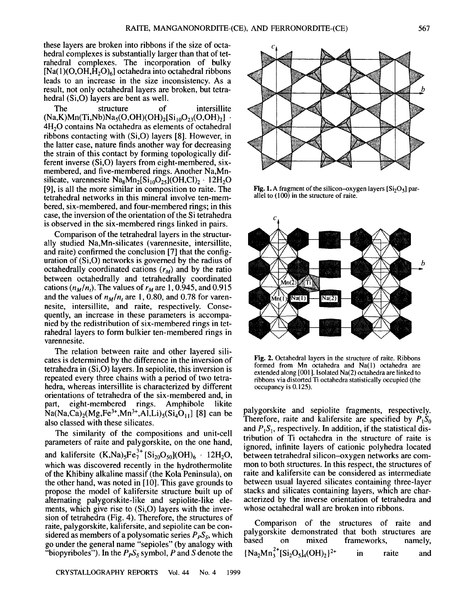"biopyriboles"). In the  $P_P S_S$  symbol, *P* and *S* denote the

these layers are broken into ribbons if the size of octahedral complexes is substantially larger than that of tetrahedral complexes. The incorporation of bulky  $[Na(1)(O,OH,H<sub>2</sub>O)<sub>6</sub>]$  octahedra into octahedral ribbons leads to an increase in the size inconsistency. As a result, not only octahedral layers are broken, but tetrahedral (Si,O) layers are bent as well.

The structure of intersillite  $(Na,K)Mn(Ti,Nb)Na_5(O,OH)(OH)_2[Si_{10}O_{23}(O,OH)_2]$ . 4H<sub>2</sub>O contains Na octahedra as elements of octahedral ribbons contacting with (Si,O) layers [8]. However, in the latter case, nature finds another way for decreasing the strain of this contact by forming topologically different inverse (Si,O) layers from eight-membered, sixmembered, and five-membered rings. Another Na,Mnsilicate, varennesite  $\text{Na}_8\text{Mn}_2[\text{Si}_{10}\text{O}_{25}](\text{OH}, \text{Cl})_2 \cdot 12\text{H}_2\text{O}$ [9], is all the more similar in composition to raite. The tetrahedral networks in this mineral involve ten-membered, six-membered, and four-membered rings; in this case, the inversion of the orientation of the Si tetrahedra is observed in the six-membered rings linked in pairs.

Comparison of the tetrahedral layers in the structurally studied Na,Mn-silicates (varennesite, intersillite, and raite) confirmed the conclusion [7] that the configuration of (Si,O) networks is governed by the radius of octahedrally coordinated cations  $(r_M)$  and by the ratio between octahedrally and tetrahedrally coordinated cations  $(n_M/n_t)$ . The values of  $r_M$  are 1, 0.945, and 0.915 and the values of  $n_M/n$ , are 1, 0.80, and 0.78 for varennesite, intersillite, and raite, respectively. Consequently, an increase in these parameters is accompanied by the redistribution of six-membered rings in tetrahedral layers to form bulkier ten-membered rings in varennesite.

The relation between raite and other layered silicates is determined by the difference in the inversion of tetrahedra in (Si,O) layers. In sepiolite, this inversion is repeated every three chains with a period of two tetrahedra, whereas intersillite is characterized by different orientations of tetrahedra of the six-membered and, in part, eight-membered rings. Amphibole likite  $Na(Na,Ca)_{2}(Mg,Fe^{3+},Mn^{3+},A1,Li)_{5}(Si_{4}O_{11}]$  [8] can be also classed with these silicates.

The similarity of the compositions and unit-cell parameters of raite and palygorskite, on the one hand, and kalifersite  $(K,Na)_{5}Fe_{7}^{3+}[Si_{20}O_{50}](OH)_{6} \cdot 12H_{2}O$ , which was discovered recently in the hydrothermolite of the Khibiny alkaline massif (the Kola Peninsula), on the other hand, was noted in [10]. This gave grounds to propose the model of kalifersite structure built up of alternating palygorskite-like and sepiolite-like elements, which give rise to (Si,O) layers with the inversion of tetrahedra (Fig. 4). Therefore, the structures of raite, palygorskite, kalifersite, and sepiolite can be considered as members of a polysomatic series  $P_P S_S$ , which go under the general name "sepioles" (by analogy with acterized by the inverse orientation of tetrahedra and whose octahedral wall are broken into ribbons.

palygorskite and sepiolite fragments, respectively. Therefore, raite and kalifersite are specified by  $P_1S_0$ and  $P_1S_1$ , respectively. In addition, if the statistical distribution of Ti octahedra in the structure of raite is ignored, infinite layers of cationic polyhedra located

between tetrahedral silicon-oxygen networks are common to both structures. In this respect, the structures of raite and kalifersite can be considered as intermediate between usual layered silicates containing three-layer stacks and silicates containing layers, which are char-

Comparison of the structures of raite and palygorskite demonstrated that both structures are based on mixed frameworks, namely,  ${\rm Na_2Mn_3^{2+}[Si_2O_5]_4(OH)_2\}^{2+}$  in raite and

Fig. 1. A fragment of the silicon-oxygen layers  $[Si<sub>2</sub>O<sub>5</sub>]$  parallel to (100) in the structure of raite.



Fig. 2. Octahedral layers in the structure of raite. Ribbons formed from Mn octahedra and Na(l) octahedra are extended along [001]. Isolated Na(2) octahedra are linked to ribbons via distorted Ti octahedra statistically occupied (the

occupancy is 0.125).

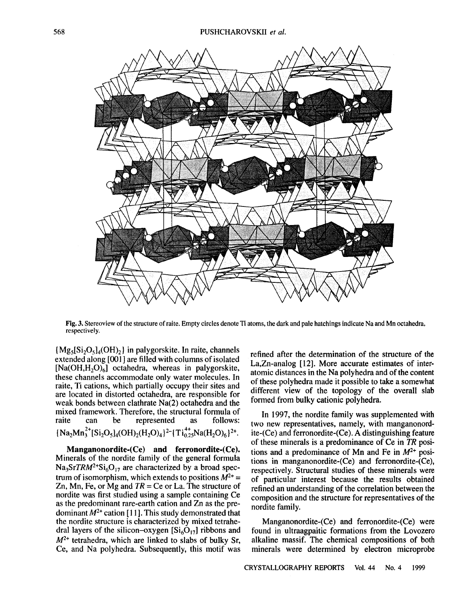

Fig. 3. Stereoview of the structure of raite. Empty circles denote Ti atoms, the dark and pale hatchings indicate Na and Mn octahedra, respectively.

 ${Mg_5[Si_2O_5]_4(OH)_2}$  in palygorskite. In raite, channels extended along [001] are filled with columns of isolated  $[Na(OH,H,O)<sub>6</sub>]$  octahedra, whereas in palygorskite, these channels accommodate only water molecules. In raite, Ti cations, which partially occupy their sites and are located in distorted octahedra, are responsible for weak bonds between clathrate Na(2) octahedra and the mixed framework. Therefore, the structural formula of raite can be represented as follows:  ${\rm Na_2Mn_3^{2+}\left[ Si_2O_5\right]_4(OH)_2(H_2O)_4\}^2- {\rm\{Ti_{0.25}^{4+}Na(H_2O)_6\}^{2+}}.$ 

Manganonordite-(Ce) and ferronordite-(Ce). Minerals of the nordite family of the general formula  $Na<sub>3</sub>SrTRM<sup>2+</sup>Si<sub>6</sub>O<sub>17</sub>$  are characterized by a broad spectrum of isomorphism, which extends to positions  $M^{2+}$  = Zn, Mn, Fe, or  $Mg$  and  $TR = Ce$  or La. The structure of nordite was first studied using a sample containing Ce as the predominant rare-earth cation and Zn as the predominant  $M^{2+}$  cation [11]. This study demonstrated that the nordite structure is characterized by mixed tetrahedral layers of the silicon-oxygen  $[Si<sub>6</sub>O<sub>17</sub>]$  ribbons and  $M^{2+}$  tetrahedra, which are linked to slabs of bulky Sr. Ce, and Na polyhedra. Subsequently, this motif was refined after the determination of the structure of the La,Zn-analog [12]. More accurate estimates of interatomic distances in the Na polyhedra and of the content of these polyhedra made it possible to take a somewhat different view of the topology of the overall slab formed from bulky cationic polyhedra.

In 1997, the nordite family was supplemented with two new representatives, namely, with manganonordite-(Ce) and ferronordite-(Ce). A distinguishing feature of these minerals is a predominance of Ce in *TR* positions and a predominance of Mn and Fe in  $M^{2+}$  positions in manganonordite-(Ce) and ferronordite-(Ce), respectively. Structural studies of these minerals were of particular interest because the results obtained refined an understanding of the correlation between the composition and the structure for representatives of the nordite family.

Manganonordite-(Ce) and ferronordite-(Ce) were found in ultraagpaitic formations from the Lovozero alkaline massif. The chemical compositions of both minerals were determined by electron microprobe

CRYSTALLOGRAPHY REPORTS Vol. 44 No.4 1999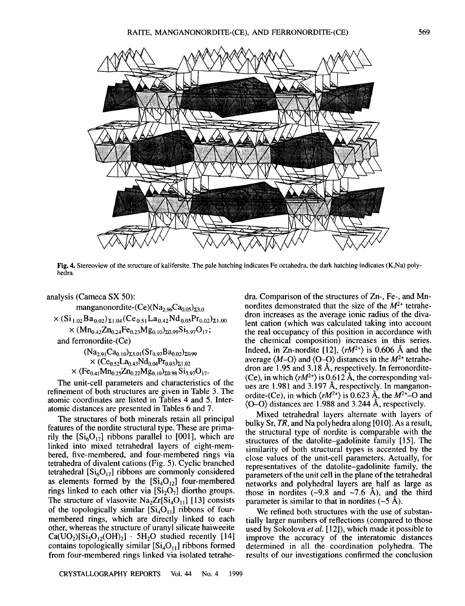

Fig. 4. Stereoview of the structure of kalifersite. The pale hatching indicates Fe octahedra, the dark hatching indicates (K,Na) polyhedra.

analysis (Cameca SX 50): manganonordite- $(Ce)$ (Na<sub>2.96</sub>Ca<sub>0.05</sub>)<sub> $\text{z}_{3.0}$ </sub>  $\times$  (Si<sub>1.02</sub>Ba<sub>0.02</sub>)<sub> $\Sigma$ 1.04</sub> (Ce<sub>0.51</sub>La<sub>0.42</sub>Nd<sub>0.05</sub>Pr<sub>0.02</sub>)<sub> $\Sigma$ 1.00</sub>  $\times$  (Mn<sub>0.42</sub>Zn<sub>0.24</sub>Fe<sub>0.23</sub>Mg<sub>0.10</sub>)<sub> $\Sigma$ 0.99</sub>Si<sub>5.97</sub>O<sub>17</sub>; and ferronordite-(Ce)  $(Na_{2.91}Ca_{0.10})_{\Sigma3.01} (Sr_{0.97}Ba_{0.02})_{\Sigma0.99}$  $\times$  (Ce<sub>0.52</sub>La<sub>0.43</sub>Nd<sub>0.04</sub>Pr<sub>0.03</sub>)<sub> $\Sigma$ 1.02</sub>  $\times$  (Fe<sub>0.41</sub>Mn<sub>0.25</sub>Zn<sub>0.22</sub>Mg<sub>0.10</sub>)<sub>20.98</sub> Si<sub>5.97</sub>O<sub>17</sub>.

The unit-cell parameters and characteristics of the refinement of both structures are given in Table 3. The atomic coordinates are listed in Tables 4 and 5. Interatomic distances are presented in Tables 6 and 7.

The structures of both minerals retain all principal features of the nordite structural type. These are primarily the  $[Si<sub>6</sub>O<sub>17</sub>]$  ribbons parallel to [001], which are linked into mixed tetrahedral layers of eight-membered, five-membered, and four-membered rings via tetrahedra of divalent cations (Fig. 5). Cyclic branched tetrahedral  $[S_{16}O_{17}]$  ribbons are commonly considered as elements formed by the  $[Si<sub>4</sub>O<sub>12</sub>]$  four-membered rings linked to each other via  $[Si<sub>2</sub>O<sub>7</sub>]$  diortho groups. The structure of vlasovite  $Na<sub>2</sub>Zr[Si<sub>4</sub>O<sub>11</sub>]$  [13] consists of the topologically similar  $[Si<sub>4</sub>O<sub>11</sub>]$  ribbons of fourmembered rings, which are directly linked to each other, whereas the structure of uranyl silicate haiweeite  $Ca(UO<sub>2</sub>)[Si<sub>5</sub>O<sub>12</sub>(OH)<sub>2</sub>]$  . 5H<sub>2</sub>O studied recently [14] contains topologically similar  $[Si_4O_{11}]$  ribbons formed from four-membered rings linked via isolated tetrahedra. Comparison of the structures of Zn-, Fe-, and Mnnordites demonstrated that the size of the  $M^{2+}$  tetrahedron increases as the average ionic radius of the divalent cation (which was calculated taking into account the real occupancy of this position in accordance with the chemical composition) increases in this series. Indeed, in Zn-nordite [12],  $\langle rM^{2+} \rangle$  is 0.606 Å and the average  $\langle M-O \rangle$  and  $\langle O-O \rangle$  distances in the  $M^{2+}$  tetrahedron are 1.95 and 3.18 A, respectively. In ferronordite- (Ce), in which  $\langle rM^{2+} \rangle$  is 0.612 Å, the corresponding values are 1.981 and 3.I97 A, respectively. In manganonordite-(Ce), in which  $\langle rM^{2+} \rangle$  is 0.623 Å, the  $M^{2+}$ -O and (0-0) distances are 1.988 and 3.244 A, respectively.

Mixed tetrahedral layers alternate with layers of bulky Sr, *TR,* and Na polyhedra along [010]. As a result, the structural type of nordite is comparable with the structures of the datolite-gadolinite family [15]. The similarity of both structural types is accented by the close values of the unit-cell parameters. ActuaIly, for representatives of the datolite-gadolinite family, the parameters of the unit ceIl in the plane of the tetrahedral networks and polyhedral layers are half as large as those in nordities  $(-9.8 \text{ and } -7.6 \text{ Å})$ , and the third parameter is similar to that in nordites  $(-5 \text{ Å})$ .

We refined both structures with the use of substantially larger numbers of reflections (compared to those used by Sokolova *et at.* [12]), which made it possible to improve the accuracy of the interatomic distances determined in all the coordination polyhedra. The results of our investigations confirmed the conclusion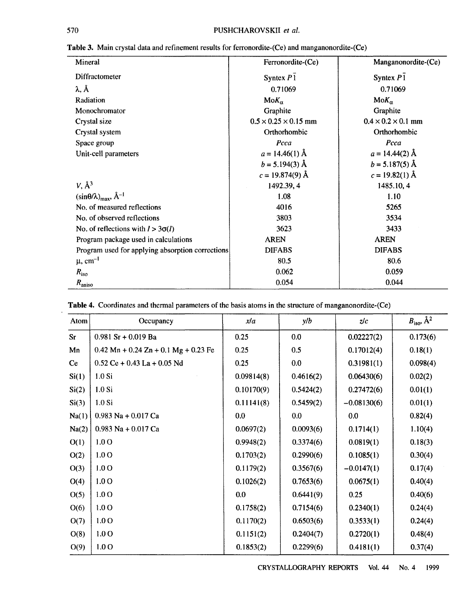| Mineral                                           | Ferronordite-(Ce)                | Manganonordite-(Ce)            |
|---------------------------------------------------|----------------------------------|--------------------------------|
| Diffractometer                                    | Syntex $P\bar{1}$                | Syntex $P\bar{1}$              |
| $\lambda$ , $\AA$                                 | 0.71069                          | 0.71069                        |
| Radiation                                         | $M \circ K_{\alpha}$             | $M \circ K_{\alpha}$           |
| Monochromator                                     | Graphite                         | Graphite                       |
| Crystal size                                      | $0.5 \times 0.25 \times 0.15$ mm | $0.4 \times 0.2 \times 0.1$ mm |
| Crystal system                                    | Orthorhombic                     | Orthorhombic                   |
| Space group                                       | Pcca                             | Pcca                           |
| Unit-cell parameters                              | $a = 14.46(1)$ Å                 | $a = 14.44(2)$ Å               |
|                                                   | $b = 5.194(3)$ Å                 | $b = 5.187(5)$ Å               |
|                                                   | $c = 19.874(9)$ Å                | $c = 19.82(1)$ Å               |
| $V, \mathring{A}^3$                               | 1492.39, 4                       | 1485.10, 4                     |
| $(\sin\theta/\lambda)_{\text{max}}, \hat{A}^{-1}$ | 1.08                             | 1.10                           |
| No. of measured reflections                       | 4016                             | 5265                           |
| No. of observed reflections                       | 3803                             | 3534                           |
| No. of reflections with $l > 3\sigma(l)$          | 3623                             | 3433                           |
| Program package used in calculations              | <b>AREN</b>                      | <b>AREN</b>                    |
| Program used for applying absorption corrections  | <b>DIFABS</b>                    | <b>DIFABS</b>                  |
| $\mu$ , cm <sup>-1</sup>                          | 80.5                             | 80.6                           |
| $R_{\rm iso}$                                     | 0.062                            | 0.059                          |
| $R_{\text{aniso}}$                                | 0.054                            | 0.044                          |

| Table 3. Main crystal data and refinement results for ferronordite-(Ce) and manganonordite-(Ce) |  |  |  |  |
|-------------------------------------------------------------------------------------------------|--|--|--|--|
|                                                                                                 |  |  |  |  |

| Atom      | Occupancy                              | x/a        | y/b       | z/c           | $B_{\text{iso}}$ , $\AA^2$ |
|-----------|----------------------------------------|------------|-----------|---------------|----------------------------|
| <b>Sr</b> | $0.981$ Sr + 0.019 Ba                  | 0.25       | 0.0       | 0.02227(2)    | 0.173(6)                   |
| Mn        | $0.42$ Mn + 0.24 Zn + 0.1 Mg + 0.23 Fe | 0.25       | 0.5       | 0.17012(4)    | 0.18(1)                    |
| <b>Ce</b> | $0.52$ Ce + 0.43 La + 0.05 Nd          | 0.25       | 0.0       | 0.31981(1)    | 0.098(4)                   |
| Si(1)     | $1.0$ Si                               | 0.09814(8) | 0.4616(2) | 0.06430(6)    | 0.02(2)                    |
| Si(2)     | $1.0$ Si                               | 0.10170(9) | 0.5424(2) | 0.27472(6)    | 0.01(1)                    |
| Si(3)     | $1.0$ Si                               | 0.11141(8) | 0.5459(2) | $-0.08130(6)$ | 0.01(1)                    |
| Na(1)     | $0.983$ Na + $0.017$ Ca                | 0.0        | 0.0       | 0.0           | 0.82(4)                    |
| Na(2)     | $0.983$ Na + $0.017$ Ca                | 0.0697(2)  | 0.0093(6) | 0.1714(1)     | 1.10(4)                    |
| O(1)      | 1.0 <sub>O</sub>                       | 0.9948(2)  | 0.3374(6) | 0.0819(1)     | 0.18(3)                    |
| O(2)      | 1.0 <sub>O</sub>                       | 0.1703(2)  | 0.2990(6) | 0.1085(1)     | 0.30(4)                    |
| O(3)      | 1.0 <sub>O</sub>                       | 0.1179(2)  | 0.3567(6) | $-0.0147(1)$  | 0.17(4)                    |
| O(4)      | 1.0 <sub>O</sub>                       | 0.1026(2)  | 0.7653(6) | 0.0675(1)     | 0.40(4)                    |
| O(5)      | 1.0 <sub>O</sub>                       | 0.0        | 0.6441(9) | 0.25          | 0.40(6)                    |
| O(6)      | 1.0 <sub>O</sub>                       | 0.1758(2)  | 0.7154(6) | 0.2340(1)     | 0.24(4)                    |
| O(7)      | 1.0 <sub>O</sub>                       | 0.1170(2)  | 0.6503(6) | 0.3533(1)     | 0.24(4)                    |
| O(8)      | 1.0 <sub>O</sub>                       | 0.1151(2)  | 0.2404(7) | 0.2720(1)     | 0.48(4)                    |
| O(9)      | 1.0 <sub>O</sub>                       | 0.1853(2)  | 0.2299(6) | 0.4181(1)     | 0.37(4)                    |

**Table 4.** Coordinates and thermal parameters of the basis atoms in the structure of manganonordite-(Ce)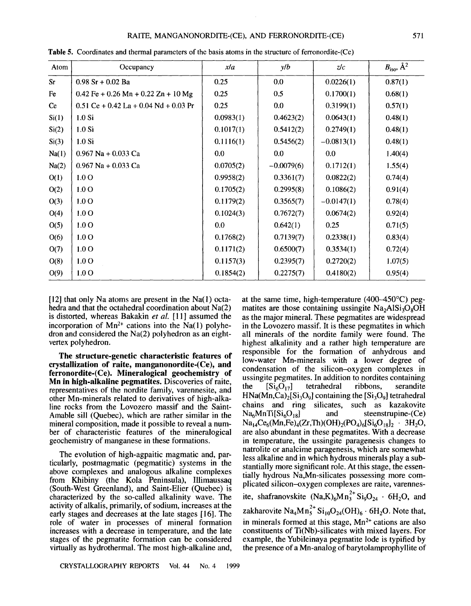## RAITE, MANGANONORDlTE-(CE), AND FERRONORDlTE-(CE) 571

| Atom      | Occupancy                               | xla       | y/b          | z/c          | $B_{\text{iso}}$ , $\AA^2$ |
|-----------|-----------------------------------------|-----------|--------------|--------------|----------------------------|
| <b>Sr</b> | $0.98$ Sr + 0.02 Ba                     | 0.25      | 0.0          | 0.0226(1)    | 0.87(1)                    |
| Fe        | $0.42$ Fe + 0.26 Mn + 0.22 Zn + 10 Mg   | 0.25      | 0.5          | 0.1700(1)    | 0.68(1)                    |
| <b>Ce</b> | $0.51$ Ce + 0.42 La + 0.04 Nd + 0.03 Pr | 0.25      | 0.0          | 0.3199(1)    | 0.57(1)                    |
| Si(1)     | $1.0$ Si                                | 0.0983(1) | 0.4623(2)    | 0.0643(1)    | 0.48(1)                    |
| Si(2)     | $1.0$ Si                                | 0.1017(1) | 0.5412(2)    | 0.2749(1)    | 0.48(1)                    |
| Si(3)     | $1.0$ Si                                | 0.1116(1) | 0.5456(2)    | $-0.0813(1)$ | 0.48(1)                    |
| Na(1)     | $0.967$ Na + 0.033 Ca                   | 0.0       | 0.0          | 0.0          | 1.40(4)                    |
| Na(2)     | $0.967$ Na + $0.033$ Ca                 | 0.0705(2) | $-0.0079(6)$ | 0.1712(1)    | 1.55(4)                    |
| O(1)      | 1.0 <sub>O</sub>                        | 0.9958(2) | 0.3361(7)    | 0.0822(2)    | 0.74(4)                    |
| O(2)      | 1.0 <sub>O</sub>                        | 0.1705(2) | 0.2995(8)    | 0.1086(2)    | 0.91(4)                    |
| O(3)      | 1.0 <sub>O</sub>                        | 0.1179(2) | 0.3565(7)    | $-0.0147(1)$ | 0.78(4)                    |
| O(4)      | 1.0 <sub>O</sub>                        | 0.1024(3) | 0.7672(7)    | 0.0674(2)    | 0.92(4)                    |
| O(5)      | 1.0 <sub>O</sub>                        | 0.0       | 0.642(1)     | 0.25         | 0.71(5)                    |
| O(6)      | 1.0 <sub>O</sub>                        | 0.1768(2) | 0.7139(7)    | 0.2338(1)    | 0.83(4)                    |
| O(7)      | 1.0 <sub>O</sub>                        | 0.1171(2) | 0.6500(7)    | 0.3534(1)    | 0.72(4)                    |
| O(8)      | 1.0 <sub>O</sub>                        | 0.1157(3) | 0.2395(7)    | 0.2720(2)    | 1.07(5)                    |
| O(9)      | 1.0 <sub>O</sub>                        | 0.1854(2) | 0.2275(7)    | 0.4180(2)    | 0.95(4)                    |

Table 5. Coordinates and thennal parameters of the basis atoms in the structure of ferronordite-(Ce)

 $[12]$  that only Na atoms are present in the Na $(1)$  octahedra and that the octahedral coordination about Na(2) is distorted, whereas Bakakin *et al.* [1I] assumed the incorporation of  $Mn^{2+}$  cations into the Na(1) polyhedron and considered the Na(2) polyhedron as an eightvertex polyhedron.

The structure-genetic characteristic features of crystallization of raite, manganonordite-(Ce), and ferronordite-(Ce). Mineralogical geochemistry of Mn in high-alkaline pegmatites. Discoveries of raite, representatives of the nordite family, varennesite, and other Mn-minerals related to derivatives of high-alkaline rocks from the Lovozero massif and the Saint-Amable sill (Quebec), which are rather similar in the mineral composition, made it possible to reveal a number of characteristic features of the mineralogical geochemistry of manganese in these formations.

The evolution of high-agpaitic magmatic and, particularly, postmagmatic (pegmatitic) systems in the above complexes and analogous alkaline complexes from Khibiny (the Kola Peninsula), Illimaussaq (South-West Greenland), and Saint-Elier (Quebec) is characterized by the so-called alkalinity wave. The activity of alkalis, primarily, of sodium, increases at the early stages and decreases at the late stages [16]. The role of water in processes of mineral formation increases with a decrease in temperature, and the late stages of the pegmatite formation can be considered virtually as hydrothermal. The most high-alkaline and,

at the same time, high-temperature (400-450°C) pegmatites are those containing ussingite  $Na<sub>2</sub>AISi<sub>3</sub>O<sub>8</sub>OH$ as the major mineral. These pegmatites are widespread in the Lovozero massif. It is these pegmatites in which all minerals of the nordite family were found. The highest alkalinity and a rather high temperature are responsible for the formation of anhydrous and low-water Mn-minerals with a lower degree of condensation of the silicon-oxygen complexes in ussingite pegmatites. In addition to nordites containing the  $[Si_6O_{17}]$  tetrahedral ribbons, serandite  $HNa(Mn,Ca)_{2}[Si_{3}O_{9}]$  containing the  $[Si_{3}O_{9}]$  tetrahedral chains and ring silicates, such as kazakovite<br>Na<sub>6</sub>MnTi[Si<sub>6</sub>O<sub>18</sub>] and steenstrupine-(Ce)  $Na<sub>6</sub>MnTi[Si<sub>6</sub>O<sub>18</sub>]$  $Na_{14}Ce_6(Mn,Fe)_4(Zr,Th)(OH)_2(PO_4)_6[Si_6O_{18}]_2$  . 3H<sub>2</sub>O, are also abundant in these pegmatites. With a decrease in temperature, the ussingite paragenesis changes to natrolite or analcime paragenesis, which are somewhat less alkaline and in which hydrous minerals play a substantially more significant role. At this stage, the essentially hydrous Na,Mn-silicates possessing more complicated silicon-oxygen complexes are raite, varennesite, shafranovskite  $(Na,K)_{6}Mn_{3}^{2+}Si_{9}O_{24}$   $\cdot$  6H<sub>2</sub>O, and zakharovite  $\text{Na}_4\text{Mn}_5^{2+}$   $\text{Si}_{10}\text{O}_{24}(\text{OH})_6 \cdot \text{6H}_2\text{O}$ . Note that, in minerals formed at this stage,  $Mn^{2+}$  cations are also constituents of Ti(Nb)-silicates with mixed layers. For example, the Yubileinaya pegmatite lode is typified by

the presence of a Mn-analog of barytolamprophyllite of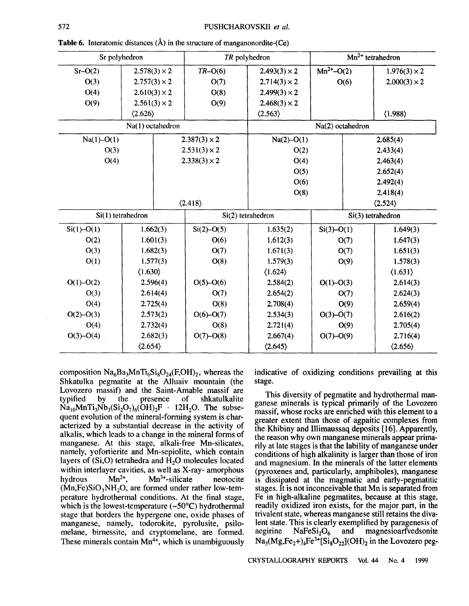| Sr polyhedron  |                         |  | TR polyhedron           |                         | $Mn^{2+}$ tetrahedron |          |                         |  |
|----------------|-------------------------|--|-------------------------|-------------------------|-----------------------|----------|-------------------------|--|
| $Sr-O(2)$      | $2.578(3) \times 2$     |  | $TR-O(6)$               | $2.493(3) \times 2$     | $Mn^{2+}$ –O(2)       |          | $1.976(3) \times 2$     |  |
| O(3)           | $2.757(3) \times 2$     |  | O(7)                    | $2.714(3) \times 2$     | O(6)                  |          | $2.000(3) \times 2$     |  |
| O(4)           | $2.610(3) \times 2$     |  | O(8)                    | $2.499(3) \times 2$     |                       |          |                         |  |
| O(9)           | $2.561(3) \times 2$     |  | O(9)                    | $2.468(3) \times 2$     |                       |          |                         |  |
|                | $\langle 2.626 \rangle$ |  |                         | $\langle 2.563 \rangle$ |                       |          | (1.988)                 |  |
|                | Na(1) octahedron        |  |                         |                         | Na(2) octahedron      |          |                         |  |
| $Na(1) - O(1)$ |                         |  | $2.387(3) \times 2$     | $Na(2)-O(1)$            |                       |          | 2.685(4)                |  |
| O(3)           |                         |  | $2.531(3) \times 2$     | O(2)                    |                       |          | 2.433(4)                |  |
| O(4)           |                         |  | $2.338(3) \times 2$     | O(4)                    |                       |          | 2.463(4)                |  |
|                |                         |  |                         | O(5)                    |                       | 2.652(4) |                         |  |
|                |                         |  |                         | O(6)                    |                       |          | 2.492(4)                |  |
|                |                         |  |                         | O(8)                    |                       |          | 2.418(4)                |  |
|                |                         |  | $\langle 2.418 \rangle$ |                         |                       |          | $\langle 2.524 \rangle$ |  |
|                | Si(1) tetrahedron       |  |                         | Si(2) tetrahedron       |                       |          | Si(3) tetrahedron       |  |
| $Si(1) - O(1)$ | 1.662(3)                |  | $Si(2) - O(5)$          | 1.635(2)                | $Si(3) - O(1)$        |          | 1.649(3)                |  |
| O(2)           | 1.601(3)                |  | O(6)                    | 1.612(3)                | O(7)                  |          | 1.647(3)                |  |
| O(3)           | 1.682(3)                |  | O(7)                    | 1.671(3)                | O(7)                  |          | 1.651(3)                |  |
| O(1)           | 1.577(3)                |  | O(8)                    | 1.579(3)                | O(9)                  |          | 1.578(3)                |  |
|                | $\langle 1.630 \rangle$ |  |                         | $\langle 1.624 \rangle$ |                       |          | $\langle 1.631 \rangle$ |  |
| $O(1) - O(2)$  | 2.596(4)                |  | $O(5)-O(6)$             | 2.584(2)                | $O(1)-O(3)$           |          | 2.614(3)                |  |
| O(3)           | 2.614(4)                |  | O(7)                    | 2.654(2)                | O(7)                  |          | 2.624(3)                |  |
| O(4)           | 2.725(4)                |  | O(8)                    | 2.708(4)                | O(9)                  |          | 2.659(4)                |  |
| $O(2) - O(3)$  | 2.573(2)                |  | $O(6)-O(7)$             | 2.534(3)                | $O(3)-O(7)$           |          | 2.616(2)                |  |
| O(4)           | 2.732(4)                |  | O(8)                    | 2.721(4)                | O(9)                  |          | 2.705(4)                |  |
| $O(3)-O(4)$    | 2.682(3)                |  | $O(7)-O(8)$             | 2.667(4)                | $O(7)-O(9)$           |          | 2.716(4)                |  |
|                | $\langle 2.654 \rangle$ |  |                         | $\langle 2.645 \rangle$ |                       |          | $\langle 2.656 \rangle$ |  |

**Table 6.** Interatomic distances  $(\hat{A})$  in the structure of manganonordite- $(Ce)$ 

composition  $Na<sub>6</sub>Ba<sub>3</sub>MnTi<sub>6</sub>Si<sub>8</sub>O<sub>24</sub>(F,OH)<sub>2</sub>$ , whereas the Shkatulka pegmatite at the Alluaiv mountain (the Lovozero massif) and the Saint-Amable massif are<br>typified by the presence of shkatulkalite by the presence of shkatulkalite  $Na_{10}MnTi_3Nb_3(Si_2O_7)_6(OH)_2F$  . 12H<sub>2</sub>O. The subsequent evolution of the mineral-forming system is characterized by a substantial decrease in the activity of alkalis, which leads to a change in the mineral forms of manganese. At this stage, alkali-free Mn-silicates, namely, yofortierite and Mn-sepiolite, which contain layers of  $(Si, O)$  tetrahedra and  $\hat{H}_2O$  molecules located within interlayer cavities, as well as X-ray- amorphous hydrous  $Mn^{2+}$ ,  $Mn^{3+}$ -silicate neotocite  $(Mn,Fe)SiO<sub>3</sub>NH<sub>2</sub>O$ , are formed under rather low-temperature hydrothermal conditions. At the final stage, which is the lowest-temperature  $(-50^{\circ}C)$  hydrothermal stage that borders the hypergene one, oxide phases of manganese, namely, todorokite, pyrolusite, psilomelane, birnessite, and cryptomelane, are formed. These minerals contain  $Mn^{4+}$ , which is unambiguously indicative of oxidizing conditions prevailing at this stage.

This diversity of pegmatite and hydrothermal manganese minerals is typical primarily of the Lovozero massif, whose rocks are enriched with this element to a greater extent than those of agpaitic complexes from the Khibiny and Illimaussaq deposits [16]. Apparently, the reason why own manganese minerals appear primarily at late stages is that the lability of manganese under conditions of high alkalinity is larger than those of iron and magnesium. In the minerals of the latter elements (pyroxenes and, particularly, amphiboles), manganese is dissipated at the magmatic and early-pegmatitic stages. It is not inconceivable that Mn is separated from Fe in high-alkaline pegmatites, because at this stage, readily oxidized iron exists, for the major part, in the trivalent state, whereas manganese still retains the divalent state. This is clearly exemplified by paragenesis of aegirine  $Nafesi<sub>2</sub>O<sub>6</sub>$  and magnesioarfvedsonite aegirine  $NaFeSi<sub>2</sub>O<sub>6</sub>$  and magnesioarfvedsonite  $Na_3(Mg,Fe_2+)$ <sub>4</sub>Fe<sup>3+</sup>[Si<sub>8</sub>O<sub>22</sub>](OH)<sub>2</sub> in the Lovozero peg-